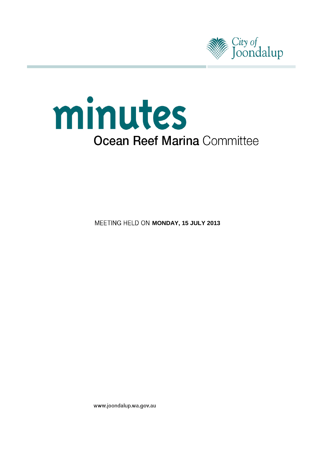



**MEETING HELD ON MONDAY, 15 JULY 2013** 

www.joondalup.wa.gov.au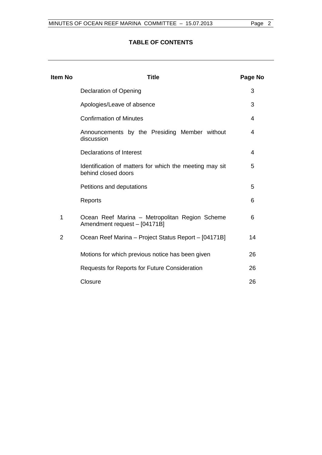# **TABLE OF CONTENTS**

| ltem No | Title                                                                          | Page No |
|---------|--------------------------------------------------------------------------------|---------|
|         | Declaration of Opening                                                         | 3       |
|         | Apologies/Leave of absence                                                     | 3       |
|         | <b>Confirmation of Minutes</b>                                                 | 4       |
|         | Announcements by the Presiding Member without<br>discussion                    | 4       |
|         | Declarations of Interest                                                       | 4       |
|         | Identification of matters for which the meeting may sit<br>behind closed doors | 5       |
|         | Petitions and deputations                                                      | 5       |
|         | Reports                                                                        | 6       |
| 1       | Ocean Reef Marina - Metropolitan Region Scheme<br>Amendment request - [04171B] | 6       |
| 2       | Ocean Reef Marina - Project Status Report - [04171B]                           | 14      |
|         | Motions for which previous notice has been given                               | 26      |
|         | <b>Requests for Reports for Future Consideration</b>                           | 26      |
|         | Closure                                                                        | 26      |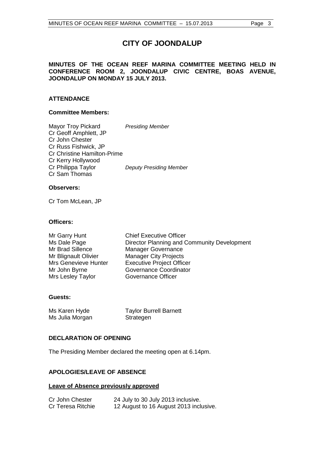# **CITY OF JOONDALUP**

## **MINUTES OF THE OCEAN REEF MARINA COMMITTEE MEETING HELD IN CONFERENCE ROOM 2, JOONDALUP CIVIC CENTRE, BOAS AVENUE, JOONDALUP ON MONDAY 15 JULY 2013.**

## **ATTENDANCE**

## **Committee Members:**

Mayor Troy Pickard *Presiding Member* Cr Geoff Amphlett, JP Cr John Chester Cr Russ Fishwick, JP Cr Christine Hamilton-Prime Cr Kerry Hollywood Cr Philippa Taylor *Deputy Presiding Member* Cr Sam Thomas

## **Observers:**

Cr Tom McLean, JP

## **Officers:**

| Mr Garry Hunt        | <b>Chief Executive Officer</b>              |
|----------------------|---------------------------------------------|
| Ms Dale Page         | Director Planning and Community Development |
| Mr Brad Sillence     | <b>Manager Governance</b>                   |
| Mr Blignault Olivier | <b>Manager City Projects</b>                |
| Mrs Genevieve Hunter | <b>Executive Project Officer</b>            |
| Mr John Byrne        | Governance Coordinator                      |
| Mrs Lesley Taylor    | Governance Officer                          |

#### **Guests:**

| Ms Karen Hyde   | <b>Taylor Burrell Barnett</b> |
|-----------------|-------------------------------|
| Ms Julia Morgan | Strategen                     |

### <span id="page-2-0"></span>**DECLARATION OF OPENING**

The Presiding Member declared the meeting open at 6.14pm.

## <span id="page-2-1"></span>**APOLOGIES/LEAVE OF ABSENCE**

#### **Leave of Absence previously approved**

| Cr John Chester   | 24 July to 30 July 2013 inclusive.     |
|-------------------|----------------------------------------|
| Cr Teresa Ritchie | 12 August to 16 August 2013 inclusive. |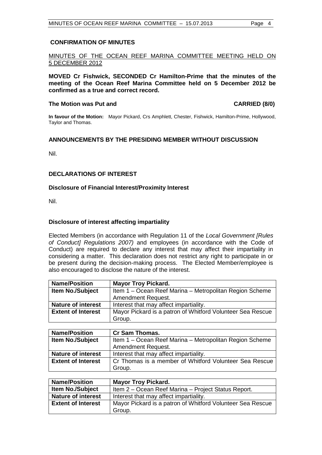## <span id="page-3-0"></span>**CONFIRMATION OF MINUTES**

## MINUTES OF THE OCEAN REEF MARINA COMMITTEE MEETING HELD ON 5 DECEMBER 2012

**MOVED Cr Fishwick, SECONDED Cr Hamilton-Prime that the minutes of the meeting of the Ocean Reef Marina Committee held on 5 December 2012 be confirmed as a true and correct record.**

#### **The Motion was Put and CARRIED (8/0)**

**In favour of the Motion:** Mayor Pickard, Crs Amphlett, Chester, Fishwick, Hamilton-Prime, Hollywood, Taylor and Thomas.

## <span id="page-3-1"></span>**ANNOUNCEMENTS BY THE PRESIDING MEMBER WITHOUT DISCUSSION**

Nil.

## <span id="page-3-2"></span>**DECLARATIONS OF INTEREST**

## **Disclosure of Financial Interest/Proximity Interest**

Nil.

## **Disclosure of interest affecting impartiality**

Elected Members (in accordance with Regulation 11 of the *Local Government [Rules of Conduct] Regulations 2007)* and employees (in accordance with the Code of Conduct) are required to declare any interest that may affect their impartiality in considering a matter. This declaration does not restrict any right to participate in or be present during the decision-making process. The Elected Member/employee is also encouraged to disclose the nature of the interest.

| <b>Name/Position</b>      | <b>Mayor Troy Pickard.</b>                                 |  |
|---------------------------|------------------------------------------------------------|--|
| <b>Item No./Subject</b>   | Item 1 – Ocean Reef Marina – Metropolitan Region Scheme    |  |
|                           | Amendment Request.                                         |  |
| <b>Nature of interest</b> | Interest that may affect impartiality.                     |  |
| <b>Extent of Interest</b> | Mayor Pickard is a patron of Whitford Volunteer Sea Rescue |  |
|                           | Group.                                                     |  |

| <b>Name/Position</b>      | <b>Cr Sam Thomas.</b>                                   |
|---------------------------|---------------------------------------------------------|
| <b>Item No./Subject</b>   | Item 1 – Ocean Reef Marina – Metropolitan Region Scheme |
|                           | <b>Amendment Request.</b>                               |
| <b>Nature of interest</b> | Interest that may affect impartiality.                  |
| <b>Extent of Interest</b> | Cr Thomas is a member of Whitford Volunteer Sea Rescue  |
|                           | Group.                                                  |

| <b>Name/Position</b>      | <b>Mayor Troy Pickard.</b>                                 |
|---------------------------|------------------------------------------------------------|
| <b>Item No./Subject</b>   | Item 2 - Ocean Reef Marina - Project Status Report.        |
| <b>Nature of interest</b> | Interest that may affect impartiality.                     |
| <b>Extent of Interest</b> | Mayor Pickard is a patron of Whitford Volunteer Sea Rescue |
|                           | Group.                                                     |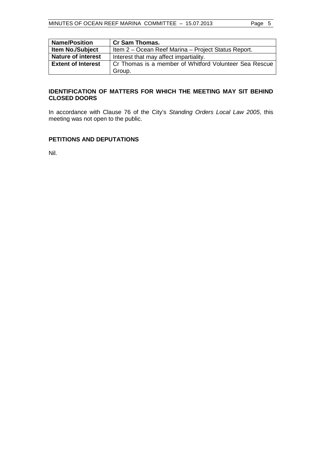| <b>Name/Position</b>      | <b>Cr Sam Thomas.</b>                                  |
|---------------------------|--------------------------------------------------------|
| <b>Item No./Subject</b>   | Item 2 – Ocean Reef Marina – Project Status Report.    |
| <b>Nature of interest</b> | Interest that may affect impartiality.                 |
| <b>Extent of Interest</b> | Cr Thomas is a member of Whitford Volunteer Sea Rescue |
|                           | Group.                                                 |

## <span id="page-4-0"></span>**IDENTIFICATION OF MATTERS FOR WHICH THE MEETING MAY SIT BEHIND CLOSED DOORS**

In accordance with Clause 76 of the City's *Standing Orders Local Law 2005*, this meeting was not open to the public.

## <span id="page-4-1"></span>**PETITIONS AND DEPUTATIONS**

Nil.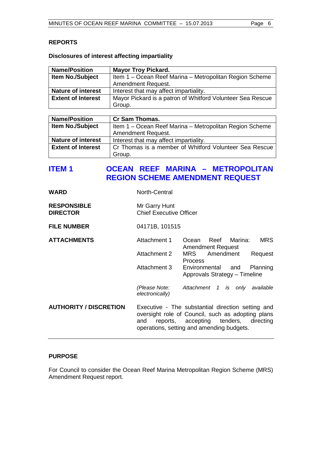## <span id="page-5-0"></span>**REPORTS**

## **Disclosures of interest affecting impartiality**

| <b>Name/Position</b>      | <b>Mayor Troy Pickard.</b>                                 |
|---------------------------|------------------------------------------------------------|
| <b>Item No./Subject</b>   | Item 1 – Ocean Reef Marina – Metropolitan Region Scheme    |
|                           | Amendment Request.                                         |
| <b>Nature of interest</b> | Interest that may affect impartiality.                     |
| <b>Extent of Interest</b> | Mayor Pickard is a patron of Whitford Volunteer Sea Rescue |
|                           | Group.                                                     |

| <b>Name/Position</b>      | <b>Cr Sam Thomas.</b>                                   |
|---------------------------|---------------------------------------------------------|
| <b>Item No./Subject</b>   | Item 1 – Ocean Reef Marina – Metropolitan Region Scheme |
|                           | Amendment Request.                                      |
| <b>Nature of interest</b> | Interest that may affect impartiality.                  |
| <b>Extent of Interest</b> | Cr Thomas is a member of Whitford Volunteer Sea Rescue  |
|                           | Group.                                                  |

# <span id="page-5-1"></span>**ITEM 1 OCEAN REEF MARINA – METROPOLITAN REGION SCHEME AMENDMENT REQUEST**

| <b>WARD</b>                           | North-Central                                   |                                                                                                                                                                                              |
|---------------------------------------|-------------------------------------------------|----------------------------------------------------------------------------------------------------------------------------------------------------------------------------------------------|
| <b>RESPONSIBLE</b><br><b>DIRECTOR</b> | Mr Garry Hunt<br><b>Chief Executive Officer</b> |                                                                                                                                                                                              |
| <b>FILE NUMBER</b>                    | 04171B, 101515                                  |                                                                                                                                                                                              |
| <b>ATTACHMENTS</b>                    | Attachment 1                                    | Ocean Reef Marina:<br><b>MRS</b><br><b>Amendment Request</b>                                                                                                                                 |
|                                       | Attachment 2                                    | Amendment<br>MRS<br>Request<br>Process                                                                                                                                                       |
|                                       | Attachment 3                                    | Environmental and<br>Planning<br>Approvals Strategy - Timeline                                                                                                                               |
|                                       | (Please Note:<br>electronically)                | Attachment 1 is only available                                                                                                                                                               |
| <b>AUTHORITY / DISCRETION</b>         | and                                             | Executive - The substantial direction setting and<br>oversight role of Council, such as adopting plans<br>reports, accepting tenders, directing<br>operations, setting and amending budgets. |

## **PURPOSE**

For Council to consider the Ocean Reef Marina Metropolitan Region Scheme (MRS) Amendment Request report.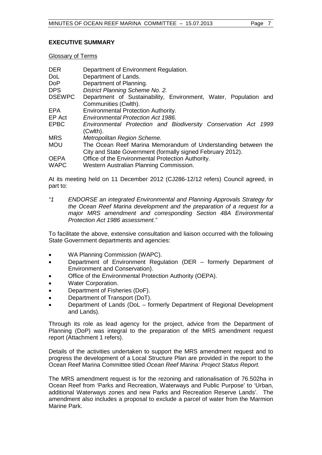## **EXECUTIVE SUMMARY**

Glossary of Terms

| <b>DER</b><br>DoL.<br><b>DoP</b> | Department of Environment Regulation.<br>Department of Lands.<br>Department of Planning. |
|----------------------------------|------------------------------------------------------------------------------------------|
| <b>DPS</b>                       | District Planning Scheme No. 2.                                                          |
| <b>DSEWPC</b>                    | Department of Sustainability, Environment, Water, Population and                         |
|                                  | Communities (Cwlth).                                                                     |
| EPA                              | Environmental Protection Authority.                                                      |
| EP Act                           | <b>Environmental Protection Act 1986.</b>                                                |
| <b>EPBC</b>                      | Environmental Protection and Biodiversity Conservation Act 1999<br>(Cwlth).              |
| <b>MRS</b>                       | Metropolitan Region Scheme.                                                              |
| <b>MOU</b>                       | The Ocean Reef Marina Memorandum of Understanding between the                            |
|                                  | City and State Government (formally signed February 2012).                               |
| <b>OEPA</b>                      | Office of the Environmental Protection Authority.                                        |
| <b>WAPC</b>                      | Western Australian Planning Commission.                                                  |

At its meeting held on 11 December 2012 (CJ286-12/12 refers) Council agreed, in part to:

*"1 ENDORSE an integrated Environmental and Planning Approvals Strategy for the Ocean Reef Marina development and the preparation of a request for a major MRS amendment and corresponding Section 48A Environmental Protection Act 1986 assessment."*

To facilitate the above, extensive consultation and liaison occurred with the following State Government departments and agencies:

- WA Planning Commission (WAPC).
- Department of Environment Regulation (DER formerly Department of Environment and Conservation).
- Office of the Environmental Protection Authority (OEPA).
- Water Corporation.
- Department of Fisheries (DoF).
- Department of Transport (DoT).
- Department of Lands (DoL formerly Department of Regional Development and Lands).

Through its role as lead agency for the project, advice from the Department of Planning (DoP) was integral to the preparation of the MRS amendment request report (Attachment 1 refers).

Details of the activities undertaken to support the MRS amendment request and to progress the development of a Local Structure Plan are provided in the report to the Ocean Reef Marina Committee titled *Ocean Reef Marina: Project Status Report.*

The MRS amendment request is for the rezoning and rationalisation of 76.502ha in Ocean Reef from 'Parks and Recreation, Waterways and Public Purpose' to 'Urban, additional Waterways zones and new Parks and Recreation Reserve Lands'. The amendment also includes a proposal to exclude a parcel of water from the Marmion Marine Park.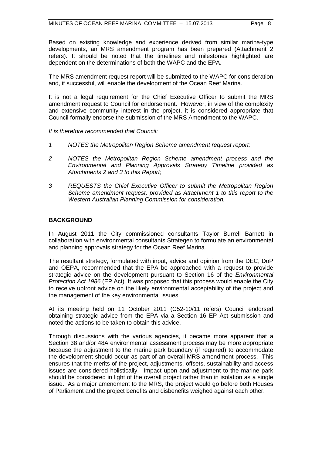Based on existing knowledge and experience derived from similar marina-type developments, an MRS amendment program has been prepared (Attachment 2 refers). It should be noted that the timelines and milestones highlighted are dependent on the determinations of both the WAPC and the EPA.

The MRS amendment request report will be submitted to the WAPC for consideration and, if successful, will enable the development of the Ocean Reef Marina.

It is not a legal requirement for the Chief Executive Officer to submit the MRS amendment request to Council for endorsement. However, in view of the complexity and extensive community interest in the project, it is considered appropriate that Council formally endorse the submission of the MRS Amendment to the WAPC.

*It is therefore recommended that Council:*

- *1 NOTES the Metropolitan Region Scheme amendment request report;*
- *2 NOTES the Metropolitan Region Scheme amendment process and the Environmental and Planning Approvals Strategy Timeline provided as Attachments 2 and 3 to this Report;*
- *3 REQUESTS the Chief Executive Officer to submit the Metropolitan Region Scheme amendment request, provided as Attachment 1 to this report to the Western Australian Planning Commission for consideration.*

## **BACKGROUND**

In August 2011 the City commissioned consultants Taylor Burrell Barnett in collaboration with environmental consultants Strategen to formulate an environmental and planning approvals strategy for the Ocean Reef Marina.

The resultant strategy, formulated with input, advice and opinion from the DEC, DoP and OEPA, recommended that the EPA be approached with a request to provide strategic advice on the development pursuant to Section 16 of the *Environmental Protection Act 1986* (EP Act). It was proposed that this process would enable the City to receive upfront advice on the likely environmental acceptability of the project and the management of the key environmental issues.

At its meeting held on 11 October 2011 (C52-10/11 refers) Council endorsed obtaining strategic advice from the EPA via a Section 16 EP Act submission and noted the actions to be taken to obtain this advice.

Through discussions with the various agencies, it became more apparent that a Section 38 and/or 48A environmental assessment process may be more appropriate because the adjustment to the marine park boundary (if required) to accommodate the development should occur as part of an overall MRS amendment process. This ensures that the merits of the project, adjustments, offsets, sustainability and access issues are considered holistically. Impact upon and adjustment to the marine park should be considered in light of the overall project rather than in isolation as a single issue. As a major amendment to the MRS, the project would go before both Houses of Parliament and the project benefits and disbenefits weighed against each other.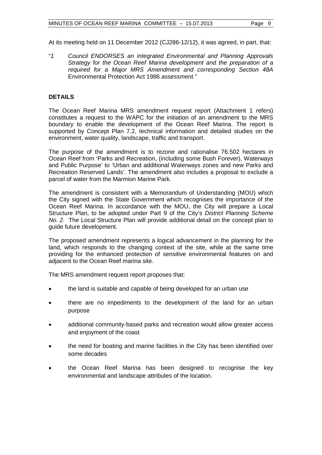At its meeting held on 11 December 2012 (CJ286-12/12), it was agreed, in part, that:

"*1 Council ENDORSES an integrated Environmental and Planning Approvals Strategy for the Ocean Reef Marina development and the preparation of a required for a Major MRS Amendment and corresponding Section 48A*  Environmental Protection Act 1986 *assessment."*

## **DETAILS**

The Ocean Reef Marina MRS amendment request report (Attachment 1 refers) constitutes a request to the WAPC for the initiation of an amendment to the MRS boundary to enable the development of the Ocean Reef Marina. The report is supported by Concept Plan 7.2, technical information and detailed studies on the environment, water quality, landscape, traffic and transport.

The purpose of the amendment is to rezone and rationalise 76.502 hectares in Ocean Reef from 'Parks and Recreation, (including some Bush Forever), Waterways and Public Purpose' to 'Urban and additional Waterways zones and new Parks and Recreation Reserved Lands'. The amendment also includes a proposal to exclude a parcel of water from the Marmion Marine Park.

The amendment is consistent with a Memorandum of Understanding (MOU) which the City signed with the State Government which recognises the importance of the Ocean Reef Marina. In accordance with the MOU, the City will prepare a Local Structure Plan, to be adopted under Part 9 of the City's *District Planning Scheme No. 2.* The Local Structure Plan will provide additional detail on the concept plan to guide future development.

The proposed amendment represents a logical advancement in the planning for the land, which responds to the changing context of the site, while at the same time providing for the enhanced protection of sensitive environmental features on and adjacent to the Ocean Reef marina site.

The MRS amendment request report proposes that:

- the land is suitable and capable of being developed for an urban use
- there are no impediments to the development of the land for an urban purpose
- additional community-based parks and recreation would allow greater access and enjoyment of the coast
- the need for boating and marine facilities in the City has been identified over some decades
- the Ocean Reef Marina has been designed to recognise the key environmental and landscape attributes of the location.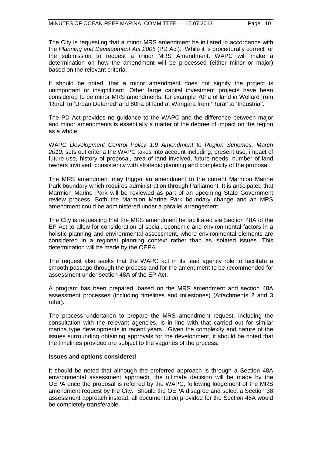The City is requesting that a minor MRS amendment be initiated in accordance with the *Planning and Development Act 2005* (PD Act). While it is procedurally correct for the submission to request a minor MRS Amendment, WAPC will make a determination on how the amendment will be processed (either minor or major) based on the relevant criteria.

It should be noted, that a minor amendment does not signify the project is unimportant or insignificant. Other large capital investment projects have been considered to be minor MRS amendments, for example 70ha of land in Wellard from 'Rural' to 'Urban Deferred' and 80ha of land at Wangara from 'Rural' to 'Industrial'.

The PD Act provides no guidance to the WAPC and the difference between major and minor amendments is essentially a matter of the degree of impact on the region as a whole.

WAPC *Development Control Policy 1.9 Amendment to Region Schemes, March 2010*, sets out criteria the WAPC takes into account including, present use, impact of future use, history of proposal, area of land involved, future needs, number of land owners involved, consistency with strategic planning and complexity of the proposal.

The MRS amendment may trigger an amendment to the current Marmion Marine Park boundary which requires administration through Parliament. It is anticipated that Marmion Marine Park will be reviewed as part of an upcoming State Government review process. Both the Marmion Marine Park boundary change and an MRS amendment could be administered under a parallel arrangement.

The City is requesting that the MRS amendment be facilitated via Section 48A of the EP Act to allow for consideration of social, economic and environmental factors in a holistic planning and environmental assessment, where environmental elements are considered in a regional planning context rather than as isolated issues. This determination will be made by the OEPA.

The request also seeks that the WAPC act in its lead agency role to facilitate a smooth passage through the process and for the amendment to be recommended for assessment under section 48A of the EP Act.

A program has been prepared, based on the MRS amendment and section 48A assessment processes (including timelines and milestones) (Attachments 2 and 3 refer).

The process undertaken to prepare the MRS amendment request, including the consultation with the relevant agencies, is in line with that carried out for similar marina type developments in recent years. Given the complexity and nature of the issues surrounding obtaining approvals for the development, it should be noted that the timelines provided are subject to the vagaries of the process.

#### **Issues and options considered**

It should be noted that although the preferred approach is through a Section 48A environmental assessment approach, the ultimate decision will be made by the OEPA once the proposal is referred by the WAPC, following lodgement of the MRS amendment request by the City. Should the OEPA disagree and select a Section 38 assessment approach instead, all documentation provided for the Section 48A would be completely transferable.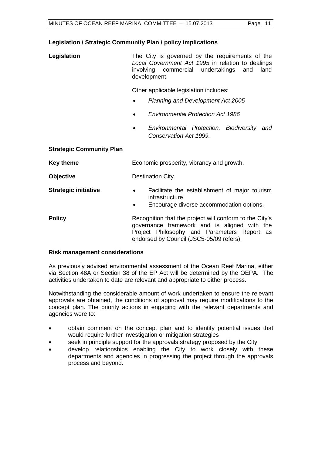## **Legislation / Strategic Community Plan / policy implications**

| Legislation | The City is governed by the requirements of the   |  |  |      |
|-------------|---------------------------------------------------|--|--|------|
|             | Local Government Act 1995 in relation to dealings |  |  |      |
|             | involving commercial undertakings and             |  |  | land |
|             | development.                                      |  |  |      |

Other applicable legislation includes:

- *Planning and Development Act 2005*
- *Environmental Protection Act 1986*
- *Environmental Protection, Biodiversity and Conservation Act 1999.*

## **Strategic Community Plan**

| Key theme                   | Economic prosperity, vibrancy and growth.                                                                                                                                                          |
|-----------------------------|----------------------------------------------------------------------------------------------------------------------------------------------------------------------------------------------------|
| <b>Objective</b>            | Destination City.                                                                                                                                                                                  |
| <b>Strategic initiative</b> | Facilitate the establishment of major tourism<br>$\bullet$<br>infrastructure.<br>Encourage diverse accommodation options.<br>$\bullet$                                                             |
| <b>Policy</b>               | Recognition that the project will conform to the City's<br>governance framework and is aligned with the<br>Project Philosophy and Parameters Report as<br>endorsed by Council (JSC5-05/09 refers). |

## **Risk management considerations**

As previously advised environmental assessment of the Ocean Reef Marina, either via Section 48A or Section 38 of the EP Act will be determined by the OEPA. The activities undertaken to date are relevant and appropriate to either process.

Notwithstanding the considerable amount of work undertaken to ensure the relevant approvals are obtained, the conditions of approval may require modifications to the concept plan. The priority actions in engaging with the relevant departments and agencies were to:

- obtain comment on the concept plan and to identify potential issues that would require further investigation or mitigation strategies
- seek in principle support for the approvals strategy proposed by the City
- develop relationships enabling the City to work closely with these departments and agencies in progressing the project through the approvals process and beyond.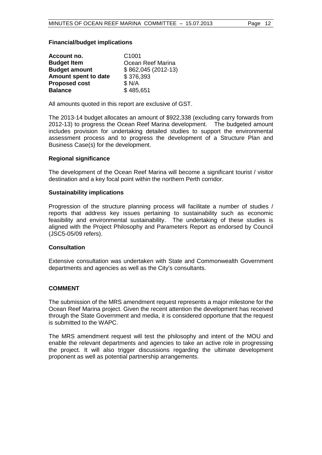## **Financial/budget implications**

| Account no.          | C <sub>1001</sub>   |
|----------------------|---------------------|
| <b>Budget Item</b>   | Ocean Reef Marina   |
| <b>Budget amount</b> | \$862,045 (2012-13) |
| Amount spent to date | \$376,393           |
| <b>Proposed cost</b> | \$ N/A              |
| <b>Balance</b>       | \$485,651           |

All amounts quoted in this report are exclusive of GST.

The 2013-14 budget allocates an amount of \$922,338 (excluding carry forwards from 2012-13) to progress the Ocean Reef Marina development. The budgeted amount includes provision for undertaking detailed studies to support the environmental assessment process and to progress the development of a Structure Plan and Business Case(s) for the development.

## **Regional significance**

The development of the Ocean Reef Marina will become a significant tourist / visitor destination and a key focal point within the northern Perth corridor.

#### **Sustainability implications**

Progression of the structure planning process will facilitate a number of studies / reports that address key issues pertaining to sustainability such as economic feasibility and environmental sustainability. The undertaking of these studies is aligned with the Project Philosophy and Parameters Report as endorsed by Council (JSC5-05/09 refers).

#### **Consultation**

Extensive consultation was undertaken with State and Commonwealth Government departments and agencies as well as the City's consultants.

#### **COMMENT**

The submission of the MRS amendment request represents a major milestone for the Ocean Reef Marina project. Given the recent attention the development has received through the State Government and media, it is considered opportune that the request is submitted to the WAPC.

The MRS amendment request will test the philosophy and intent of the MOU and enable the relevant departments and agencies to take an active role in progressing the project. It will also trigger discussions regarding the ultimate development proponent as well as potential partnership arrangements.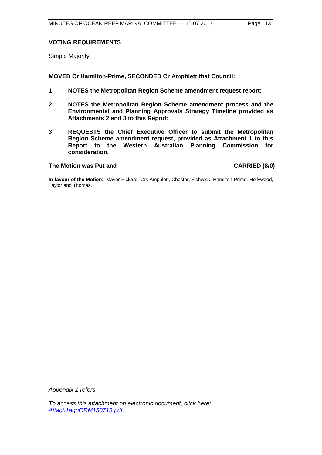## **VOTING REQUIREMENTS**

Simple Majority.

## **MOVED Cr Hamilton-Prime, SECONDED Cr Amphlett that Council:**

- **1 NOTES the Metropolitan Region Scheme amendment request report;**
- **2 NOTES the Metropolitan Region Scheme amendment process and the Environmental and Planning Approvals Strategy Timeline provided as Attachments 2 and 3 to this Report;**
- **3 REQUESTS the Chief Executive Officer to submit the Metropolitan Region Scheme amendment request, provided as Attachment 1 to this Report to the Western Australian Planning Commission for consideration.**

## The Motion was Put and **CARRIED** (8/0)

**In favour of the Motion**: Mayor Pickard, Crs Amphlett, Chester, Fishwick, Hamilton-Prime, Hollywood, Taylor and Thomas.

*Appendix 1 refers*

*[To access this attachment on electronic document, click here:](http://www.joondalup.wa.gov.au/files/committees/ORDC/2013/Attach1agnORM150713.pdf) Attach1agnORM150713.pdf*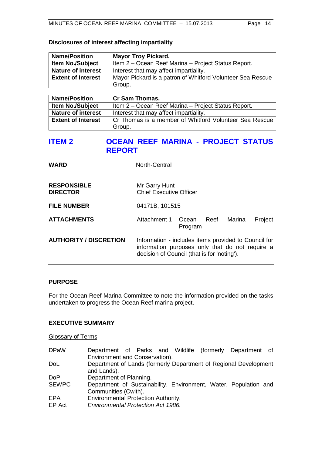# **Disclosures of interest affecting impartiality**

| <b>Name/Position</b>      | <b>Mayor Troy Pickard.</b>                                 |
|---------------------------|------------------------------------------------------------|
| <b>Item No./Subject</b>   | Item 2 – Ocean Reef Marina – Project Status Report.        |
| <b>Nature of interest</b> | Interest that may affect impartiality.                     |
| <b>Extent of Interest</b> | Mayor Pickard is a patron of Whitford Volunteer Sea Rescue |
|                           | Group.                                                     |

| <b>Name/Position</b>      | <b>Cr Sam Thomas.</b>                                  |
|---------------------------|--------------------------------------------------------|
| <b>Item No./Subject</b>   | Item 2 – Ocean Reef Marina – Project Status Report.    |
| <b>Nature of interest</b> | Interest that may affect impartiality.                 |
| <b>Extent of Interest</b> | Cr Thomas is a member of Whitford Volunteer Sea Rescue |
|                           | Group.                                                 |

# <span id="page-13-0"></span>**ITEM 2 OCEAN REEF MARINA - PROJECT STATUS REPORT**

| <b>WARD</b>                           | North-Central                                                                                                                                          |                  |      |        |         |
|---------------------------------------|--------------------------------------------------------------------------------------------------------------------------------------------------------|------------------|------|--------|---------|
| <b>RESPONSIBLE</b><br><b>DIRECTOR</b> | Mr Garry Hunt<br><b>Chief Executive Officer</b>                                                                                                        |                  |      |        |         |
| <b>FILE NUMBER</b>                    | 04171B, 101515                                                                                                                                         |                  |      |        |         |
| <b>ATTACHMENTS</b>                    | Attachment 1                                                                                                                                           | Ocean<br>Program | Reef | Marina | Project |
| <b>AUTHORITY / DISCRETION</b>         | Information - includes items provided to Council for<br>information purposes only that do not require a<br>decision of Council (that is for 'noting'). |                  |      |        |         |

## **PURPOSE**

For the Ocean Reef Marina Committee to note the information provided on the tasks undertaken to progress the Ocean Reef marina project.

## **EXECUTIVE SUMMARY**

## Glossary of Terms

| <b>DPaW</b>   | Department of Parks and Wildlife (formerly Department of<br>Environment and Conservation). |
|---------------|--------------------------------------------------------------------------------------------|
| DoL           | Department of Lands (formerly Department of Regional Development<br>and Lands).            |
| <b>DoP</b>    | Department of Planning.                                                                    |
| <b>SEWPC</b>  | Department of Sustainability, Environment, Water, Population and<br>Communities (Cwlth).   |
| EPA<br>EP Act | <b>Environmental Protection Authority.</b><br><b>Environmental Protection Act 1986.</b>    |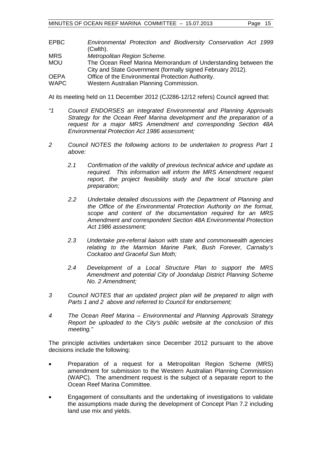- EPBC *Environmental Protection and Biodiversity Conservation Act 1999* (Cwlth).
- MRS *Metropolitan Region Scheme*.
- The Ocean Reef Marina Memorandum of Understanding between the City and State Government (formally signed February 2012).
- OEPA Office of the Environmental Protection Authority.
- WAPC Western Australian Planning Commission.

At its meeting held on 11 December 2012 (CJ286-12/12 refers) Council agreed that:

- *"1 Council ENDORSES an integrated Environmental and Planning Approvals Strategy for the Ocean Reef Marina development and the preparation of a request for a major MRS Amendment and corresponding Section 48A Environmental Protection Act 1986 assessment;*
- *2 Council NOTES the following actions to be undertaken to progress Part 1 above:*
	- *2.1 Confirmation of the validity of previous technical advice and update as required. This information will inform the MRS Amendment request report, the project feasibility study and the local structure plan preparation;*
	- *2.2 Undertake detailed discussions with the Department of Planning and the Office of the Environmental Protection Authority on the format, scope and content of the documentation required for an MRS Amendment and correspondent Section 48A Environmental Protection Act 1986 assessment;*
	- *2.3 Undertake pre-referral liaison with state and commonwealth agencies relating to the Marmion Marine Park, Bush Forever, Carnaby's Cockatoo and Graceful Sun Moth;*
	- *2.4 Development of a Local Structure Plan to support the MRS Amendment and potential City of Joondalup District Planning Scheme No. 2 Amendment;*
- *3 Council NOTES that an updated project plan will be prepared to align with Parts 1 and 2 above and referred to Council for endorsement;*
- *4 The Ocean Reef Marina – Environmental and Planning Approvals Strategy Report be uploaded to the City's public website at the conclusion of this meeting."*

The principle activities undertaken since December 2012 pursuant to the above decisions include the following:

- Preparation of a request for a Metropolitan Region Scheme (MRS) amendment for submission to the Western Australian Planning Commission (WAPC). The amendment request is the subject of a separate report to the Ocean Reef Marina Committee.
- Engagement of consultants and the undertaking of investigations to validate the assumptions made during the development of Concept Plan 7.2 including land use mix and yields.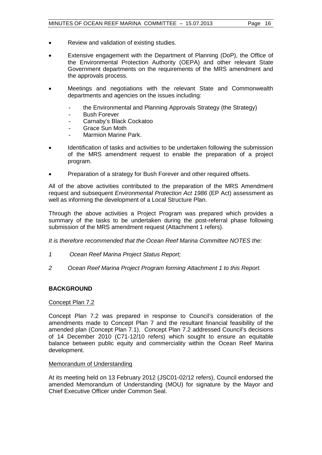- Review and validation of existing studies.
- Extensive engagement with the Department of Planning (DoP), the Office of the Environmental Protection Authority (OEPA) and other relevant State Government departments on the requirements of the MRS amendment and the approvals process.
- Meetings and negotiations with the relevant State and Commonwealth departments and agencies on the issues including:
	- the Environmental and Planning Approvals Strategy (the Strategy)
	- Bush Forever
	- Carnaby's Black Cockatoo
	- Grace Sun Moth<br>- Marmion Marine
	- Marmion Marine Park.
- Identification of tasks and activities to be undertaken following the submission of the MRS amendment request to enable the preparation of a project program.
- Preparation of a strategy for Bush Forever and other required offsets.

All of the above activities contributed to the preparation of the MRS Amendment request and subsequent *Environmental Protection Act 1986* (EP Act) assessment as well as informing the development of a Local Structure Plan.

Through the above activities a Project Program was prepared which provides a summary of the tasks to be undertaken during the post-referral phase following submission of the MRS amendment request (Attachment 1 refers).

*It is therefore recommended that the Ocean Reef Marina Committee NOTES the:*

- *1 Ocean Reef Marina Project Status Report;*
- *2 Ocean Reef Marina Project Program forming Attachment 1 to this Report.*

## **BACKGROUND**

#### Concept Plan 7.2

Concept Plan 7.2 was prepared in response to Council's consideration of the amendments made to Concept Plan 7 and the resultant financial feasibility of the amended plan (Concept Plan 7.1). Concept Plan 7.2 addressed Council's decisions of 14 December 2010 (C71-12/10 refers) which sought to ensure an equitable balance between public equity and commerciality within the Ocean Reef Marina development.

#### Memorandum of Understanding

At its meeting held on 13 February 2012 (JSC01-02/12 refers), Council endorsed the amended Memorandum of Understanding (MOU) for signature by the Mayor and Chief Executive Officer under Common Seal.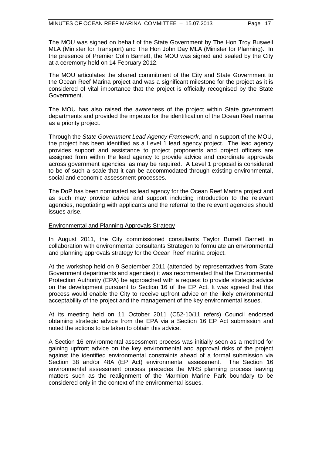The MOU was signed on behalf of the State Government by The Hon Troy Buswell MLA (Minister for Transport) and The Hon John Day MLA (Minister for Planning). In the presence of Premier Colin Barnett, the MOU was signed and sealed by the City at a ceremony held on 14 February 2012.

The MOU articulates the shared commitment of the City and State Government to the Ocean Reef Marina project and was a significant milestone for the project as it is considered of vital importance that the project is officially recognised by the State Government.

The MOU has also raised the awareness of the project within State government departments and provided the impetus for the identification of the Ocean Reef marina as a priority project.

Through the *State Government Lead Agency Framework*, and in support of the MOU, the project has been identified as a Level 1 lead agency project. The lead agency provides support and assistance to project proponents and project officers are assigned from within the lead agency to provide advice and coordinate approvals across government agencies, as may be required. A Level 1 proposal is considered to be of such a scale that it can be accommodated through existing environmental, social and economic assessment processes.

The DoP has been nominated as lead agency for the Ocean Reef Marina project and as such may provide advice and support including introduction to the relevant agencies, negotiating with applicants and the referral to the relevant agencies should issues arise.

### Environmental and Planning Approvals Strategy

In August 2011, the City commissioned consultants Taylor Burrell Barnett in collaboration with environmental consultants Strategen to formulate an environmental and planning approvals strategy for the Ocean Reef marina project.

At the workshop held on 9 September 2011 (attended by representatives from State Government departments and agencies) it was recommended that the Environmental Protection Authority (EPA) be approached with a request to provide strategic advice on the development pursuant to Section 16 of the EP Act. It was agreed that this process would enable the City to receive upfront advice on the likely environmental acceptability of the project and the management of the key environmental issues.

At its meeting held on 11 October 2011 (C52-10/11 refers) Council endorsed obtaining strategic advice from the EPA via a Section 16 EP Act submission and noted the actions to be taken to obtain this advice.

A Section 16 environmental assessment process was initially seen as a method for gaining upfront advice on the key environmental and approval risks of the project against the identified environmental constraints ahead of a formal submission via Section 38 and/or 48A (EP Act) environmental assessment. The Section 16 environmental assessment process precedes the MRS planning process leaving matters such as the realignment of the Marmion Marine Park boundary to be considered only in the context of the environmental issues.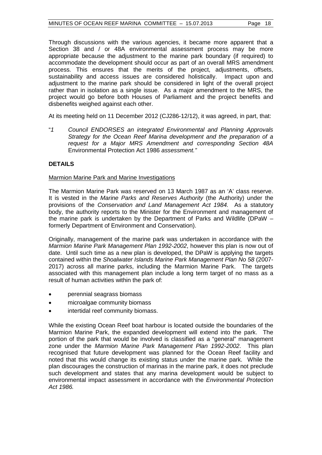Through discussions with the various agencies, it became more apparent that a Section 38 and / or 48A environmental assessment process may be more appropriate because the adjustment to the marine park boundary (if required) to accommodate the development should occur as part of an overall MRS amendment process. This ensures that the merits of the project, adjustments, offsets, sustainability and access issues are considered holistically. Impact upon and adjustment to the marine park should be considered in light of the overall project rather than in isolation as a single issue. As a major amendment to the MRS, the project would go before both Houses of Parliament and the project benefits and disbenefits weighed against each other.

At its meeting held on 11 December 2012 (CJ286-12/12), it was agreed, in part, that:

"*1 Council ENDORSES an integrated Environmental and Planning Approvals Strategy for the Ocean Reef Marina development and the preparation of a request for a Major MRS Amendment and corresponding Section 48A*  Environmental Protection Act 1986 *assessment."*

## **DETAILS**

## Marmion Marine Park and Marine Investigations

The Marmion Marine Park was reserved on 13 March 1987 as an 'A' class reserve. It is vested in the *Marine Parks and Reserves Authority* (the Authority) under the provisions of the *Conservation and Land Management Act 1984.* As a statutory body, the authority reports to the Minister for the Environment and management of the marine park is undertaken by the Department of Parks and Wildlife (DPaW – formerly Department of Environment and Conservation).

Originally, management of the marine park was undertaken in accordance with the *Marmion Marine Park Management Plan 1992-2002*, however this plan is now out of date. Until such time as a new plan is developed, the DPaW is applying the targets contained within the *Shoalwater Islands Marine Park Management Plan No 58* (2007- 2017) across all marine parks, including the Marmion Marine Park. The targets associated with this management plan include a long term target of no mass as a result of human activities within the park of:

- perennial seagrass biomass
- microalgae community biomass
- intertidal reef community biomass.

While the existing Ocean Reef boat harbour is located outside the boundaries of the Marmion Marine Park, the expanded development will extend into the park. The portion of the park that would be involved is classified as a "general" management zone under the *Marmion Marine Park Management Plan 1992-2002*. This plan recognised that future development was planned for the Ocean Reef facility and noted that this would change its existing status under the marine park. While the plan discourages the construction of marinas in the marine park, it does not preclude such development and states that any marina development would be subject to environmental impact assessment in accordance with the *Environmental Protection Act 1986.*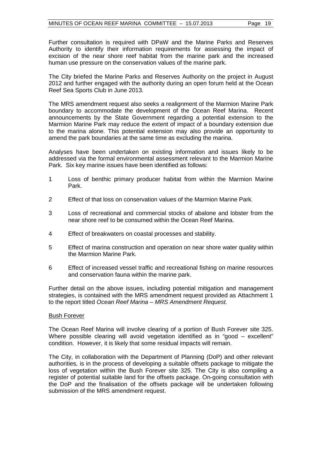Further consultation is required with DPaW and the Marine Parks and Reserves Authority to identify their information requirements for assessing the impact of excision of the near shore reef habitat from the marine park and the increased human use pressure on the conservation values of the marine park.

The City briefed the Marine Parks and Reserves Authority on the project in August 2012 and further engaged with the authority during an open forum held at the Ocean Reef Sea Sports Club in June 2013.

The MRS amendment request also seeks a realignment of the Marmion Marine Park boundary to accommodate the development of the Ocean Reef Marina. Recent announcements by the State Government regarding a potential extension to the Marmion Marine Park may reduce the extent of impact of a boundary extension due to the marina alone. This potential extension may also provide an opportunity to amend the park boundaries at the same time as excluding the marina.

Analyses have been undertaken on existing information and issues likely to be addressed via the formal environmental assessment relevant to the Marmion Marine Park. Six key marine issues have been identified as follows:

- 1 Loss of benthic primary producer habitat from within the Marmion Marine Park.
- 2 Effect of that loss on conservation values of the Marmion Marine Park.
- 3 Loss of recreational and commercial stocks of abalone and lobster from the near shore reef to be consumed within the Ocean Reef Marina.
- 4 Effect of breakwaters on coastal processes and stability.
- 5 Effect of marina construction and operation on near shore water quality within the Marmion Marine Park.
- 6 Effect of increased vessel traffic and recreational fishing on marine resources and conservation fauna within the marine park.

Further detail on the above issues, including potential mitigation and management strategies, is contained with the MRS amendment request provided as Attachment 1 to the report titled *Ocean Reef Marina – MRS Amendment Request.*

#### Bush Forever

The Ocean Reef Marina will involve clearing of a portion of Bush Forever site 325. Where possible clearing will avoid vegetation identified as in "good – excellent" condition. However, it is likely that some residual impacts will remain.

The City, in collaboration with the Department of Planning (DoP) and other relevant authorities, is in the process of developing a suitable offsets package to mitigate the loss of vegetation within the Bush Forever site 325. The City is also compiling a register of potential suitable land for the offsets package. On-going consultation with the DoP and the finalisation of the offsets package will be undertaken following submission of the MRS amendment request.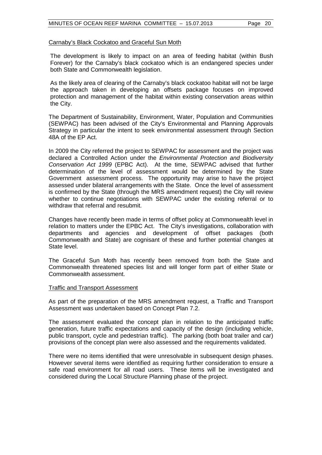#### Carnaby's Black Cockatoo and Graceful Sun Moth

The development is likely to impact on an area of feeding habitat (within Bush Forever) for the Carnaby's black cockatoo which is an endangered species under both State and Commonwealth legislation.

As the likely area of clearing of the Carnaby's black cockatoo habitat will not be large the approach taken in developing an offsets package focuses on improved protection and management of the habitat within existing conservation areas within the City.

The Department of Sustainability, Environment, Water, Population and Communities (SEWPAC) has been advised of the City's Environmental and Planning Approvals Strategy in particular the intent to seek environmental assessment through Section 48A of the EP Act.

In 2009 the City referred the project to SEWPAC for assessment and the project was declared a Controlled Action under the *Environmental Protection and Biodiversity Conservation Act 1999* (EPBC Act). At the time, SEWPAC advised that further determination of the level of assessment would be determined by the State Government assessment process. The opportunity may arise to have the project assessed under bilateral arrangements with the State. Once the level of assessment is confirmed by the State (through the MRS amendment request) the City will review whether to continue negotiations with SEWPAC under the existing referral or to withdraw that referral and resubmit.

Changes have recently been made in terms of offset policy at Commonwealth level in relation to matters under the EPBC Act. The City's investigations, collaboration with departments and agencies and development of offset packages (both Commonwealth and State) are cognisant of these and further potential changes at State level.

The Graceful Sun Moth has recently been removed from both the State and Commonwealth threatened species list and will longer form part of either State or Commonwealth assessment.

#### Traffic and Transport Assessment

As part of the preparation of the MRS amendment request, a Traffic and Transport Assessment was undertaken based on Concept Plan 7.2.

The assessment evaluated the concept plan in relation to the anticipated traffic generation, future traffic expectations and capacity of the design (including vehicle, public transport, cycle and pedestrian traffic). The parking (both boat trailer and car) provisions of the concept plan were also assessed and the requirements validated.

There were no items identified that were unresolvable in subsequent design phases. However several items were identified as requiring further consideration to ensure a safe road environment for all road users. These items will be investigated and considered during the Local Structure Planning phase of the project.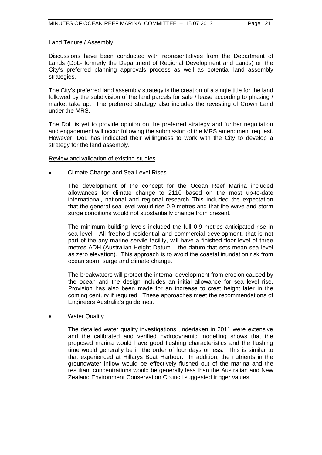#### Land Tenure / Assembly

Discussions have been conducted with representatives from the Department of Lands (DoL- formerly the Department of Regional Development and Lands) on the City's preferred planning approvals process as well as potential land assembly strategies.

The City's preferred land assembly strategy is the creation of a single title for the land followed by the subdivision of the land parcels for sale / lease according to phasing / market take up. The preferred strategy also includes the revesting of Crown Land under the MRS.

The DoL is yet to provide opinion on the preferred strategy and further negotiation and engagement will occur following the submission of the MRS amendment request. However, DoL has indicated their willingness to work with the City to develop a strategy for the land assembly.

#### Review and validation of existing studies

• Climate Change and Sea Level Rises

The development of the concept for the Ocean Reef Marina included allowances for climate change to 2110 based on the most up-to-date international, national and regional research. This included the expectation that the general sea level would rise 0.9 metres and that the wave and storm surge conditions would not substantially change from present.

The minimum building levels included the full 0.9 metres anticipated rise in sea level. All freehold residential and commercial development, that is not part of the any marine servile facility, will have a finished floor level of three metres ADH (Australian Height Datum – the datum that sets mean sea level as zero elevation). This approach is to avoid the coastal inundation risk from ocean storm surge and climate change.

The breakwaters will protect the internal development from erosion caused by the ocean and the design includes an initial allowance for sea level rise. Provision has also been made for an increase to crest height later in the coming century if required. These approaches meet the recommendations of Engineers Australia's guidelines.

#### **Water Quality**

The detailed water quality investigations undertaken in 2011 were extensive and the calibrated and verified hydrodynamic modelling shows that the proposed marina would have good flushing characteristics and the flushing time would generally be in the order of four days or less. This is similar to that experienced at Hillarys Boat Harbour. In addition, the nutrients in the groundwater inflow would be effectively flushed out of the marina and the resultant concentrations would be generally less than the Australian and New Zealand Environment Conservation Council suggested trigger values.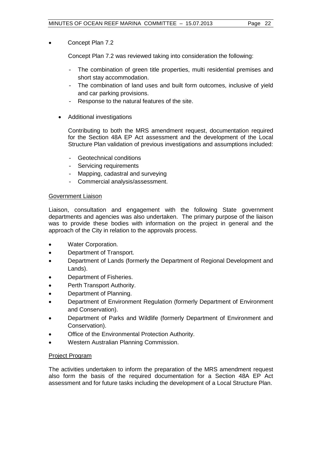## • Concept Plan 7.2

Concept Plan 7.2 was reviewed taking into consideration the following:

- The combination of green title properties, multi residential premises and short stay accommodation.
- The combination of land uses and built form outcomes, inclusive of yield and car parking provisions.
- Response to the natural features of the site.
- Additional investigations

Contributing to both the MRS amendment request, documentation required for the Section 48A EP Act assessment and the development of the Local Structure Plan validation of previous investigations and assumptions included:

- Geotechnical conditions
- Servicing requirements
- Mapping, cadastral and surveying
- Commercial analysis/assessment.

## Government Liaison

Liaison, consultation and engagement with the following State government departments and agencies was also undertaken. The primary purpose of the liaison was to provide these bodies with information on the project in general and the approach of the City in relation to the approvals process.

- Water Corporation.
- Department of Transport.
- Department of Lands (formerly the Department of Regional Development and Lands).
- Department of Fisheries.
- Perth Transport Authority.
- Department of Planning.
- Department of Environment Regulation (formerly Department of Environment and Conservation).
- Department of Parks and Wildlife (formerly Department of Environment and Conservation).
- Office of the Environmental Protection Authority.
- Western Australian Planning Commission.

## Project Program

The activities undertaken to inform the preparation of the MRS amendment request also form the basis of the required documentation for a Section 48A EP Act assessment and for future tasks including the development of a Local Structure Plan.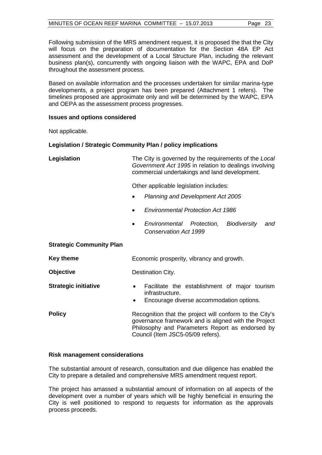Following submission of the MRS amendment request, it is proposed the that the City will focus on the preparation of documentation for the Section 48A EP Act assessment and the development of a Local Structure Plan, including the relevant business plan(s), concurrently with ongoing liaison with the WAPC, EPA and DoP throughout the assessment process.

Based on available information and the processes undertaken for similar marina-type developments, a project program has been prepared (Attachment 1 refers). The timelines proposed are approximate only and will be determined by the WAPC, EPA and OEPA as the assessment process progresses.

## **Issues and options considered**

Not applicable.

## **Legislation / Strategic Community Plan / policy implications**

**Legislation** The City is governed by the requirements of the *Local Government Act 1995* in relation to dealings involving commercial undertakings and land development.

Other applicable legislation includes:

- *Planning and Development Act 2005*
- *Environmental Protection Act 1986*
- *Environmental Protection, Biodiversity and Conservation Act 1999*

#### **Strategic Community Plan**

| <b>Key theme</b>            | Economic prosperity, vibrancy and growth.                                                                                                                                                               |
|-----------------------------|---------------------------------------------------------------------------------------------------------------------------------------------------------------------------------------------------------|
| <b>Objective</b>            | Destination City.                                                                                                                                                                                       |
| <b>Strategic initiative</b> | Facilitate the establishment of major tourism<br>$\bullet$<br>infrastructure.<br>Encourage diverse accommodation options.<br>$\bullet$                                                                  |
| <b>Policy</b>               | Recognition that the project will conform to the City's<br>governance framework and is aligned with the Project<br>Philosophy and Parameters Report as endorsed by<br>Council (Item JSC5-05/09 refers). |

#### **Risk management considerations**

The substantial amount of research, consultation and due diligence has enabled the City to prepare a detailed and comprehensive MRS amendment request report.

The project has amassed a substantial amount of information on all aspects of the development over a number of years which will be highly beneficial in ensuring the City is well positioned to respond to requests for information as the approvals process proceeds.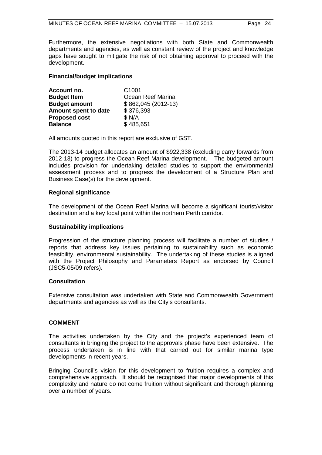Furthermore, the extensive negotiations with both State and Commonwealth departments and agencies, as well as constant review of the project and knowledge gaps have sought to mitigate the risk of not obtaining approval to proceed with the development.

### **Financial/budget implications**

| Account no.          | C <sub>1001</sub>   |
|----------------------|---------------------|
| <b>Budget Item</b>   | Ocean Reef Marina   |
| <b>Budget amount</b> | $$862,045(2012-13)$ |
| Amount spent to date | \$376,393           |
| <b>Proposed cost</b> | \$ N/A              |
| <b>Balance</b>       | \$485,651           |

All amounts quoted in this report are exclusive of GST.

The 2013-14 budget allocates an amount of \$922,338 (excluding carry forwards from 2012-13) to progress the Ocean Reef Marina development. The budgeted amount includes provision for undertaking detailed studies to support the environmental assessment process and to progress the development of a Structure Plan and Business Case(s) for the development.

#### **Regional significance**

The development of the Ocean Reef Marina will become a significant tourist/visitor destination and a key focal point within the northern Perth corridor.

#### **Sustainability implications**

Progression of the structure planning process will facilitate a number of studies / reports that address key issues pertaining to sustainability such as economic feasibility, environmental sustainability. The undertaking of these studies is aligned with the Project Philosophy and Parameters Report as endorsed by Council (JSC5-05/09 refers).

#### **Consultation**

Extensive consultation was undertaken with State and Commonwealth Government departments and agencies as well as the City's consultants.

## **COMMENT**

The activities undertaken by the City and the project's experienced team of consultants in bringing the project to the approvals phase have been extensive. The process undertaken is in line with that carried out for similar marina type developments in recent years.

Bringing Council's vision for this development to fruition requires a complex and comprehensive approach. It should be recognised that major developments of this complexity and nature do not come fruition without significant and thorough planning over a number of years.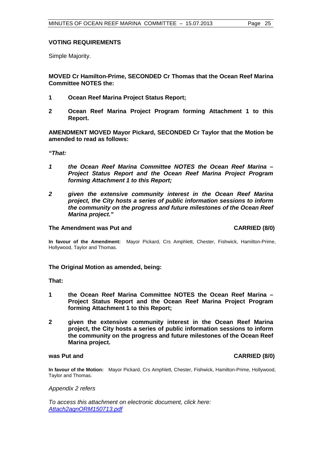## **VOTING REQUIREMENTS**

Simple Majority.

**MOVED Cr Hamilton-Prime, SECONDED Cr Thomas that the Ocean Reef Marina Committee NOTES the:**

- **1 Ocean Reef Marina Project Status Report;**
- **2 Ocean Reef Marina Project Program forming Attachment 1 to this Report.**

**AMENDMENT MOVED Mayor Pickard, SECONDED Cr Taylor that the Motion be amended to read as follows:**

*"That:* 

- *1 the Ocean Reef Marina Committee NOTES the Ocean Reef Marina Project Status Report and the Ocean Reef Marina Project Program forming Attachment 1 to this Report;*
- *2 given the extensive community interest in the Ocean Reef Marina project, the City hosts a series of public information sessions to inform the community on the progress and future milestones of the Ocean Reef Marina project."*

#### **The Amendment was Put and CARRIED (8/0) CARRIED (8/0)**

**In favour of the Amendment:** Mayor Pickard, Crs Amphlett, Chester, Fishwick, Hamilton-Prime, Hollywood, Taylor and Thomas.

#### **The Original Motion as amended, being:**

**That:**

- **1 the Ocean Reef Marina Committee NOTES the Ocean Reef Marina Project Status Report and the Ocean Reef Marina Project Program forming Attachment 1 to this Report;**
- **2 given the extensive community interest in the Ocean Reef Marina project, the City hosts a series of public information sessions to inform the community on the progress and future milestones of the Ocean Reef Marina project.**

#### **was Put and CARRIED (8/0)** *was Put and CARRIED (8/0)*

**In favour of the Motion:** Mayor Pickard, Crs Amphlett, Chester, Fishwick, Hamilton-Prime, Hollywood, Taylor and Thomas.

*Appendix 2 refers*

*[To access this attachment on electronic document, click here:](http://www.joondalup.wa.gov.au/files/committees/ORDC/2013/Attach2agnORM150713.pdf)  Attach2agnORM150713.pdf*